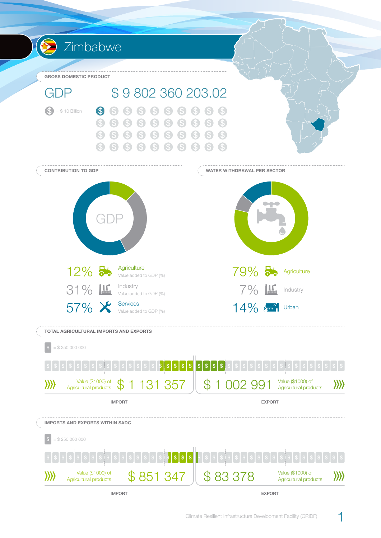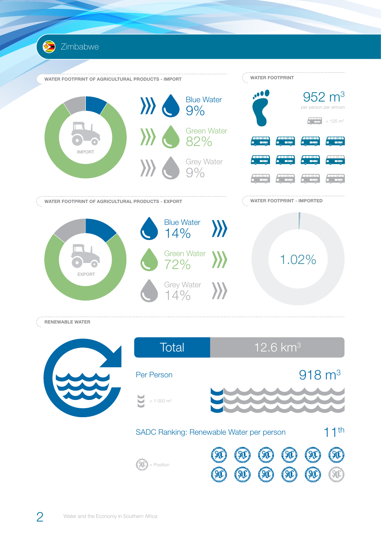



952 m<sup>3</sup> per person per annum

 $\frac{1}{2}$  = 125 m<sup>3</sup>

**Annual** 

**RENEWABLE WATER**

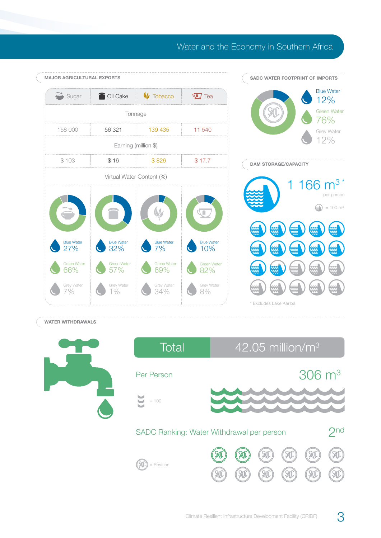## Water and the Economy in Southern Africa



## **WATER WITHDRAWALS**



| Total                                     | $42.05$ million/m <sup>3</sup> |  |  |  |                       |  |
|-------------------------------------------|--------------------------------|--|--|--|-----------------------|--|
| Per Person                                |                                |  |  |  | $306 \; \mathrm{m}^3$ |  |
| $= 100$                                   |                                |  |  |  |                       |  |
| SADC Ranking: Water Withdrawal per person |                                |  |  |  |                       |  |
| = Position                                |                                |  |  |  |                       |  |